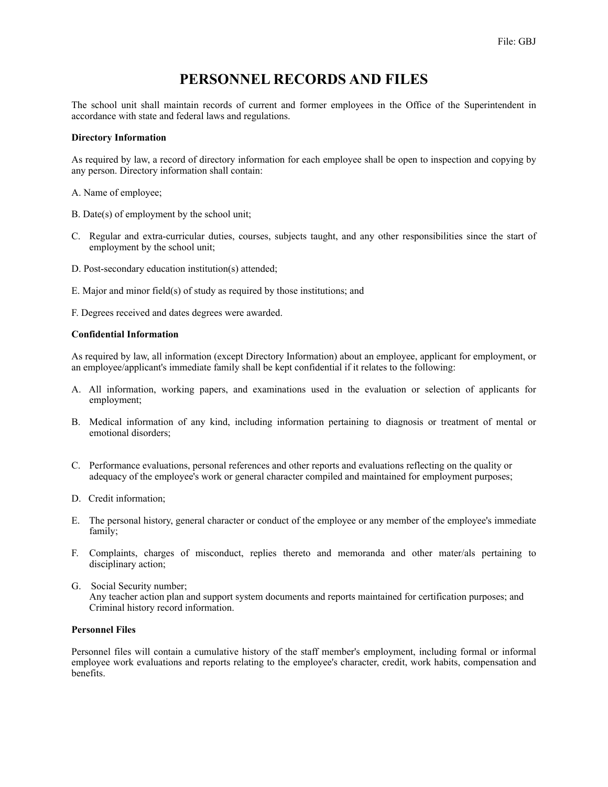# **PERSONNEL RECORDS AND FILES**

The school unit shall maintain records of current and former employees in the Office of the Superintendent in accordance with state and federal laws and regulations.

#### **Directory Information**

As required by law, a record of directory information for each employee shall be open to inspection and copying by any person. Directory information shall contain:

- A. Name of employee;
- B. Date(s) of employment by the school unit;
- C. Regular and extra-curricular duties, courses, subjects taught, and any other responsibilities since the start of employment by the school unit;
- D. Post-secondary education institution(s) attended;
- E. Major and minor field(s) of study as required by those institutions; and
- F. Degrees received and dates degrees were awarded.

# **Confidential Information**

As required by law, all information (except Directory Information) about an employee, applicant for employment, or an employee/applicant's immediate family shall be kept confidential if it relates to the following:

- A. All information, working papers, and examinations used in the evaluation or selection of applicants for employment;
- B. Medical information of any kind, including information pertaining to diagnosis or treatment of mental or emotional disorders;
- C. Performance evaluations, personal references and other reports and evaluations reflecting on the quality or adequacy of the employee's work or general character compiled and maintained for employment purposes;
- D. Credit information;
- E. The personal history, general character or conduct of the employee or any member of the employee's immediate family;
- F. Complaints, charges of misconduct, replies thereto and memoranda and other mater/als pertaining to disciplinary action;
- G. Social Security number; Any teacher action plan and support system documents and reports maintained for certification purposes; and Criminal history record information.

#### **Personnel Files**

Personnel files will contain a cumulative history of the staff member's employment, including formal or informal employee work evaluations and reports relating to the employee's character, credit, work habits, compensation and benefits.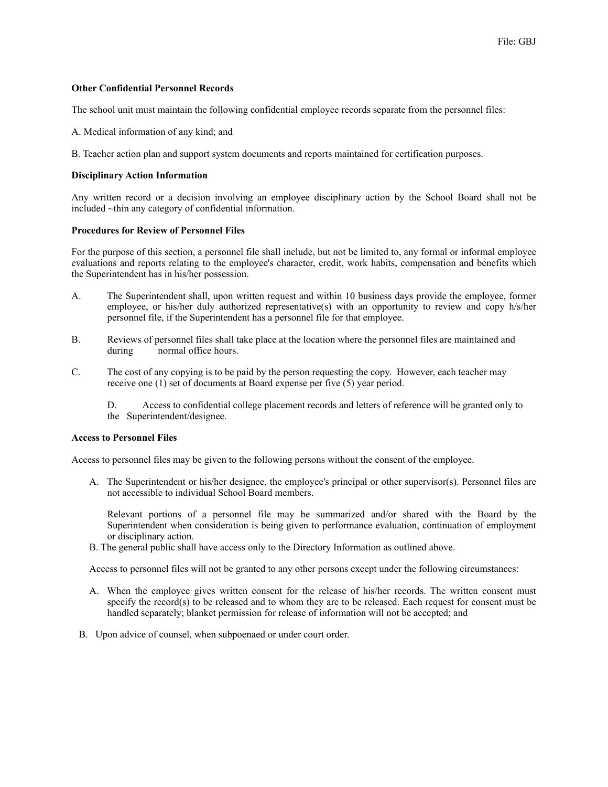# **Other Confidential Personnel Records**

The school unit must maintain the following confidential employee records separate from the personnel files:

A. Medical information of any kind; and

B. Teacher action plan and support system documents and reports maintained for certification purposes.

# **Disciplinary Action Information**

Any written record or a decision involving an employee disciplinary action by the School Board shall not be included ~thin any category of confidential information.

# **Procedures for Review of Personnel Files**

For the purpose of this section, a personnel file shall include, but not be limited to, any formal or informal employee evaluations and reports relating to the employee's character, credit, work habits, compensation and benefits which the Superintendent has in his/her possession.

- A. The Superintendent shall, upon written request and within 10 business days provide the employee, former employee, or his/her duly authorized representative(s) with an opportunity to review and copy h/s/her personnel file, if the Superintendent has a personnel file for that employee.
- B. Reviews of personnel files shall take place at the location where the personnel files are maintained and during normal office hours.
- C. The cost of any copying is to be paid by the person requesting the copy. However, each teacher may receive one (1) set of documents at Board expense per five (5) year period.

 D. Access to confidential college placement records and letters of reference will be granted only to the Superintendent/designee.

#### **Access to Personnel Files**

Access to personnel files may be given to the following persons without the consent of the employee.

A. The Superintendent or his/her designee, the employee's principal or other supervisor(s). Personnel files are not accessible to individual School Board members.

Relevant portions of a personnel file may be summarized and/or shared with the Board by the Superintendent when consideration is being given to performance evaluation, continuation of employment or disciplinary action.

B. The general public shall have access only to the Directory Information as outlined above.

Access to personnel files will not be granted to any other persons except under the following circumstances:

- A. When the employee gives written consent for the release of his/her records. The written consent must specify the record(s) to be released and to whom they are to be released. Each request for consent must be handled separately; blanket permission for release of information will not be accepted; and
- B. Upon advice of counsel, when subpoenaed or under court order.